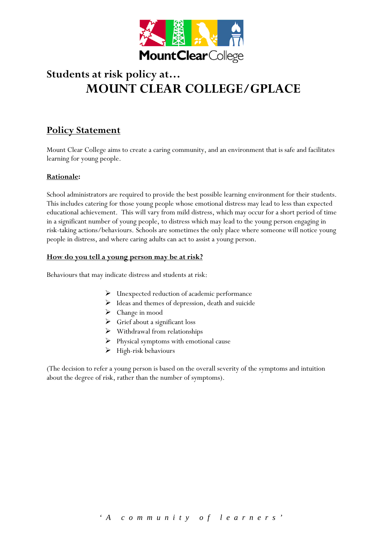

# **Students at risk policy at… MOUNT CLEAR COLLEGE/GPLACE**

# **Policy Statement**

Mount Clear College aims to create a caring community, and an environment that is safe and facilitates learning for young people.

# **Rationale:**

School administrators are required to provide the best possible learning environment for their students. This includes catering for those young people whose emotional distress may lead to less than expected educational achievement. This will vary from mild distress, which may occur for a short period of time in a significant number of young people, to distress which may lead to the young person engaging in risk-taking actions/behaviours. Schools are sometimes the only place where someone will notice young people in distress, and where caring adults can act to assist a young person.

# **How do you tell a young person may be at risk?**

Behaviours that may indicate distress and students at risk:

- Unexpected reduction of academic performance
- > Ideas and themes of depression, death and suicide
- Change in mood
- $\triangleright$  Grief about a significant loss
- $\triangleright$  Withdrawal from relationships
- $\triangleright$  Physical symptoms with emotional cause
- $\blacktriangleright$  High-risk behaviours

(The decision to refer a young person is based on the overall severity of the symptoms and intuition about the degree of risk, rather than the number of symptoms).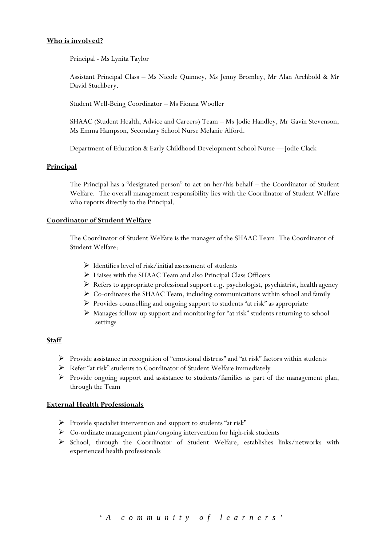#### **Who is involved?**

Principal - Ms Lynita Taylor

Assistant Principal Class – Ms Nicole Quinney, Ms Jenny Bromley, Mr Alan Archbold & Mr David Stuchbery.

Student Well-Being Coordinator – Ms Fionna Wooller

SHAAC (Student Health, Advice and Careers) Team – Ms Jodie Handley, Mr Gavin Stevenson, Ms Emma Hampson, Secondary School Nurse Melanie Alford.

Department of Education & Early Childhood Development School Nurse —Jodie Clack

# **Principal**

The Principal has a "designated person" to act on her/his behalf – the Coordinator of Student Welfare. The overall management responsibility lies with the Coordinator of Student Welfare who reports directly to the Principal.

#### **Coordinator of Student Welfare**

The Coordinator of Student Welfare is the manager of the SHAAC Team. The Coordinator of Student Welfare:

- $\triangleright$  Identifies level of risk/initial assessment of students
- Liaises with the SHAAC Team and also Principal Class Officers
- Refers to appropriate professional support e.g. psychologist, psychiatrist, health agency
- Co-ordinates the SHAAC Team, including communications within school and family
- $\triangleright$  Provides counselling and ongoing support to students "at risk" as appropriate
- Manages follow-up support and monitoring for "at risk" students returning to school settings

#### **Staff**

- Provide assistance in recognition of "emotional distress" and "at risk" factors within students
- Refer "at risk" students to Coordinator of Student Welfare immediately
- Provide ongoing support and assistance to students/families as part of the management plan, through the Team

#### **External Health Professionals**

- $\triangleright$  Provide specialist intervention and support to students "at risk"
- $\triangleright$  Co-ordinate management plan/ongoing intervention for high-risk students
- School, through the Coordinator of Student Welfare, establishes links/networks with experienced health professionals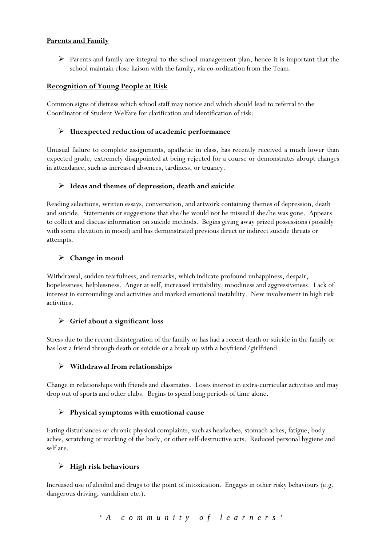# **Parents and Family**

 Parents and family are integral to the school management plan, hence it is important that the school maintain close liaison with the family, via co-ordination from the Team.

# **Recognition of Young People at Risk**

Common signs of distress which school staff may notice and which should lead to referral to the Coordinator of Student Welfare for clarification and identification of risk:

# **Unexpected reduction of academic performance**

Unusual failure to complete assignments, apathetic in class, has recently received a much lower than expected grade, extremely disappointed at being rejected for a course or demonstrates abrupt changes in attendance, such as increased absences, tardiness, or truancy.

# **Ideas and themes of depression, death and suicide**

Reading selections, written essays, conversation, and artwork containing themes of depression, death and suicide. Statements or suggestions that she/he would not be missed if she/he was gone. Appears to collect and discuss information on suicide methods. Begins giving away prized possessions (possibly with some elevation in mood) and has demonstrated previous direct or indirect suicide threats or attempts.

# **Change in mood**

Withdrawal, sudden tearfulness, and remarks, which indicate profound unhappiness, despair, hopelessness, helplessness. Anger at self, increased irritability, moodiness and aggressiveness. Lack of interest in surroundings and activities and marked emotional instability. New involvement in high risk activities.

# **Grief about a significant loss**

Stress due to the recent disintegration of the family or has had a recent death or suicide in the family or has lost a friend through death or suicide or a break up with a boyfriend/girlfriend.

# **Withdrawal from relationships**

Change in relationships with friends and classmates. Loses interest in extra-curricular activities and may drop out of sports and other clubs. Begins to spend long periods of time alone.

# **Physical symptoms with emotional cause**

Eating disturbances or chronic physical complaints, such as headaches, stomach aches, fatigue, body aches, scratching or marking of the body, or other self-destructive acts. Reduced personal hygiene and self are.

# **High risk behaviours**

Increased use of alcohol and drugs to the point of intoxication. Engages in other risky behaviours (e.g. dangerous driving, vandalism etc.).

*'A community of learners'*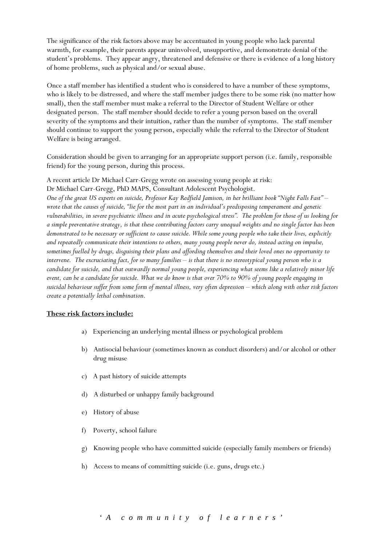The significance of the risk factors above may be accentuated in young people who lack parental warmth, for example, their parents appear uninvolved, unsupportive, and demonstrate denial of the student's problems. They appear angry, threatened and defensive or there is evidence of a long history of home problems, such as physical and/or sexual abuse.

Once a staff member has identified a student who is considered to have a number of these symptoms, who is likely to be distressed, and where the staff member judges there to be some risk (no matter how small), then the staff member must make a referral to the Director of Student Welfare or other designated person. The staff member should decide to refer a young person based on the overall severity of the symptoms and their intuition, rather than the number of symptoms. The staff member should continue to support the young person, especially while the referral to the Director of Student Welfare is being arranged.

Consideration should be given to arranging for an appropriate support person (i.e. family, responsible friend) for the young person, during this process.

A recent article Dr Michael Carr-Gregg wrote on assessing young people at risk: Dr Michael Carr-Gregg, PhD MAPS, Consultant Adolescent Psychologist. *One of the great US experts on suicide, Professor Kay Redfield Jamison, in her brilliant book "Night Falls Fast" – wrote that the causes of suicide, "lie for the most part in an individual's predisposing temperament and genetic vulnerabilities, in severe psychiatric illness and in acute psychological stress". The problem for those of us looking for a simple preventative strategy, is that these contributing factors carry unequal weights and no single factor has been demonstrated to be necessary or sufficient to cause suicide. While some young people who take their lives, explicitly and repeatedly communicate their intentions to others, many young people never do, instead acting on impulse, sometimes fuelled by drugs, disguising their plans and affording themselves and their loved ones no opportunity to intervene. The excruciating fact, for so many families – is that there is no stereotypical young person who is a candidate for suicide, and that outwardly normal young people, experiencing what seems like a relatively minor life event, can be a candidate for suicide. What we do know is that over 70% to 90% of young people engaging in suicidal behaviour suffer from some form of mental illness, very often depression – which along with other risk factors create a potentially lethal combination.*

# **These risk factors include:**

- a) Experiencing an underlying mental illness or psychological problem
- b) Antisocial behaviour (sometimes known as conduct disorders) and/or alcohol or other drug misuse
- c) A past history of suicide attempts
- d) A disturbed or unhappy family background
- e) History of abuse
- f) Poverty, school failure
- g) Knowing people who have committed suicide (especially family members or friends)
- h) Access to means of committing suicide (i.e. guns, drugs etc.)

*'A community of learners'*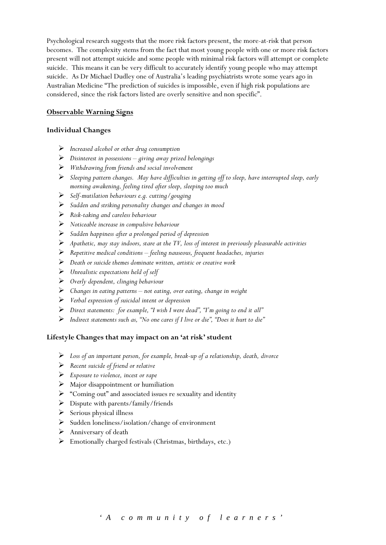Psychological research suggests that the more risk factors present, the more-at-risk that person becomes. The complexity stems from the fact that most young people with one or more risk factors present will not attempt suicide and some people with minimal risk factors will attempt or complete suicide. This means it can be very difficult to accurately identify young people who may attempt suicide. As Dr Michael Dudley one of Australia's leading psychiatrists wrote some years ago in Australian Medicine "The prediction of suicides is impossible, even if high risk populations are considered, since the risk factors listed are overly sensitive and non specific".

#### **Observable Warning Signs**

#### **Individual Changes**

- *Increased alcohol or other drug consumption*
- *Disinterest in possessions giving away prized belongings*
- *Withdrawing from friends and social involvement*
- *Sleeping pattern changes. May have difficulties in getting off to sleep, have interrupted sleep, early morning awakening, feeling tired after sleep, sleeping too much*
- *Self-mutilation behaviours e.g. cutting/gouging*
- *Sudden and striking personality changes and changes in mood*
- *Risk-taking and careless behaviour*
- *Noticeable increase in compulsive behaviour*
- *Sudden happiness after a prolonged period of depression*
- *Apathetic, may stay indoors, stare at the TV, loss of interest in previously pleasurable activities*
- *Repetitive medical conditions feeling nauseous, frequent headaches, injuries*
- *Death or suicide themes dominate written, artistic or creative work*
- *Unrealistic expectations held of self*
- *Overly dependent, clinging behaviour*
- *Changes in eating patterns not eating, over eating, change in weight*
- *Verbal expression of suicidal intent or depression*
- *Direct statements: for example, "I wish I were dead", "I'm going to end it all"*
- *Indirect statements such as, "No one cares if I live or die", "Does it hurt to die"*

# **Lifestyle Changes that may impact on an 'at risk' student**

- *Loss of an important person, for example, break-up of a relationship, death, divorce*
- *Recent suicide of friend or relative*
- *Exposure to violence, incest or rape*
- $\triangleright$  Major disappointment or humiliation
- "Coming out" and associated issues re sexuality and identity
- $\triangleright$  Dispute with parents/family/friends
- $\triangleright$  Serious physical illness
- $\triangleright$  Sudden loneliness/isolation/change of environment
- $\triangleright$  Anniversary of death
- Emotionally charged festivals (Christmas, birthdays, etc.)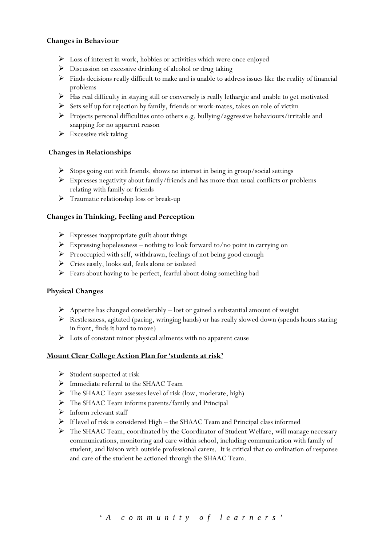#### **Changes in Behaviour**

- Loss of interest in work, hobbies or activities which were once enjoyed
- $\triangleright$  Discussion on excessive drinking of alcohol or drug taking
- $\triangleright$  Finds decisions really difficult to make and is unable to address issues like the reality of financial problems
- Has real difficulty in staying still or conversely is really lethargic and unable to get motivated
- $\triangleright$  Sets self up for rejection by family, friends or work-mates, takes on role of victim
- Projects personal difficulties onto others e.g. bullying/aggressive behaviours/irritable and snapping for no apparent reason
- Excessive risk taking

#### **Changes in Relationships**

- $\triangleright$  Stops going out with friends, shows no interest in being in group/social settings
- $\triangleright$  Expresses negativity about family/friends and has more than usual conflicts or problems relating with family or friends
- Traumatic relationship loss or break-up

#### **Changes in Thinking, Feeling and Perception**

- $\triangleright$  Expresses inappropriate guilt about things
- $\triangleright$  Expressing hopelessness nothing to look forward to/no point in carrying on
- Preoccupied with self, withdrawn, feelings of not being good enough
- Cries easily, looks sad, feels alone or isolated
- $\triangleright$  Fears about having to be perfect, fearful about doing something bad

#### **Physical Changes**

- $\triangleright$  Appetite has changed considerably lost or gained a substantial amount of weight
- $\triangleright$  Restlessness, agitated (pacing, wringing hands) or has really slowed down (spends hours staring in front, finds it hard to move)
- $\triangleright$  Lots of constant minor physical ailments with no apparent cause

#### **Mount Clear College Action Plan for 'students at risk'**

- $\triangleright$  Student suspected at risk
- $\triangleright$  Immediate referral to the SHAAC Team
- $\triangleright$  The SHAAC Team assesses level of risk (low, moderate, high)
- The SHAAC Team informs parents/family and Principal
- $\triangleright$  Inform relevant staff
- $\triangleright$  If level of risk is considered High the SHAAC Team and Principal class informed
- The SHAAC Team, coordinated by the Coordinator of Student Welfare, will manage necessary communications, monitoring and care within school, including communication with family of student, and liaison with outside professional carers. It is critical that co-ordination of response and care of the student be actioned through the SHAAC Team.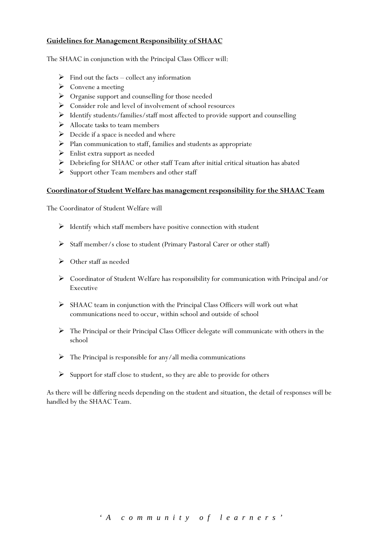#### **Guidelines for Management Responsibility of SHAAC**

The SHAAC in conjunction with the Principal Class Officer will:

- $\triangleright$  Find out the facts collect any information
- $\triangleright$  Convene a meeting
- $\triangleright$  Organise support and counselling for those needed
- $\triangleright$  Consider role and level of involvement of school resources
- Identify students/families/staff most affected to provide support and counselling
- $\triangleright$  Allocate tasks to team members
- $\triangleright$  Decide if a space is needed and where
- $\triangleright$  Plan communication to staff, families and students as appropriate
- $\triangleright$  Enlist extra support as needed
- Debriefing for SHAAC or other staff Team after initial critical situation has abated
- $\triangleright$  Support other Team members and other staff

#### **Coordinatorof Student Welfare has management responsibility for the SHAAC Team**

The Coordinator of Student Welfare will

- $\triangleright$  Identify which staff members have positive connection with student
- $\triangleright$  Staff member/s close to student (Primary Pastoral Carer or other staff)
- $\triangleright$  Other staff as needed
- Coordinator of Student Welfare has responsibility for communication with Principal and/or Executive
- $\triangleright$  SHAAC team in conjunction with the Principal Class Officers will work out what communications need to occur, within school and outside of school
- The Principal or their Principal Class Officer delegate will communicate with others in the school
- $\triangleright$  The Principal is responsible for any/all media communications
- $\triangleright$  Support for staff close to student, so they are able to provide for others

As there will be differing needs depending on the student and situation, the detail of responses will be handled by the SHAAC Team.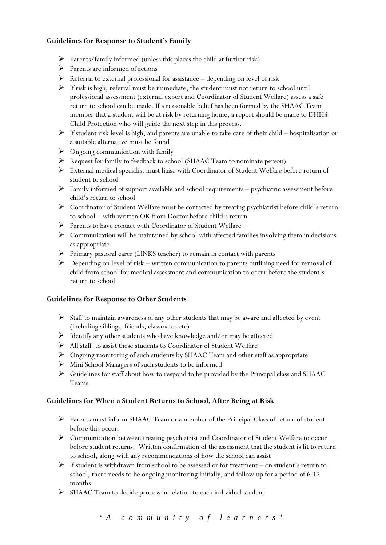# **Guidelines for Response to Student's Family**

- $\triangleright$  Parents/family informed (unless this places the child at further risk)
- $\triangleright$  Parents are informed of actions
- $\triangleright$  Referral to external professional for assistance depending on level of risk
- $\triangleright$  If risk is high, referral must be immediate, the student must not return to school until professional assessment (external expert and Coordinator of Student Welfare) assess a safe return to school can be made. If a reasonable belief has been formed by the SHAAC Team member that a student will be at risk by returning home, a report should be made to DHHS Child Protection who will guide the next step in this process.
- $\triangleright$  If student risk level is high, and parents are unable to take care of their child hospitalisation or a suitable alternative must be found
- $\triangleright$  Ongoing communication with family
- Request for family to feedback to school (SHAAC Team to nominate person)
- $\triangleright$  External medical specialist must liaise with Coordinator of Student Welfare before return of student to school
- $\triangleright$  Family informed of support available and school requirements psychiatric assessment before child's return to school
- $\triangleright$  Coordinator of Student Welfare must be contacted by treating psychiatrist before child's return to school – with written OK from Doctor before child's return
- $\triangleright$  Parents to have contact with Coordinator of Student Welfare
- $\triangleright$  Communication will be maintained by school with affected families involving them in decisions as appropriate
- Primary pastoral carer (LINKS teacher) to remain in contact with parents
- $\triangleright$  Depending on level of risk written communication to parents outlining need for removal of child from school for medical assessment and communication to occur before the student's return to school

# **Guidelines for Response to Other Students**

- $\triangleright$  Staff to maintain awareness of any other students that may be aware and affected by event (including siblings, friends, classmates etc)
- $\triangleright$  Identify any other students who have knowledge and/or may be affected
- $\triangleright$  All staff to assist these students to Coordinator of Student Welfare
- Ongoing monitoring of such students by SHAAC Team and other staff as appropriate
- $\triangleright$  Mini School Managers of such students to be informed
- Guidelines for staff about how to respond to be provided by the Principal class and SHAAC Teams

# **Guidelines for When a Student Returns to School, After Being at Risk**

- Parents must inform SHAAC Team or a member of the Principal Class of return of student before this occurs
- Communication between treating psychiatrist and Coordinator of Student Welfare to occur before student returns. Written confirmation of the assessment that the student is fit to return to school, along with any recommendations of how the school can assist
- $\triangleright$  If student is withdrawn from school to be assessed or for treatment on student's return to school, there needs to be ongoing monitoring initially, and follow up for a period of 6-12 months.
- SHAAC Team to decide process in relation to each individual student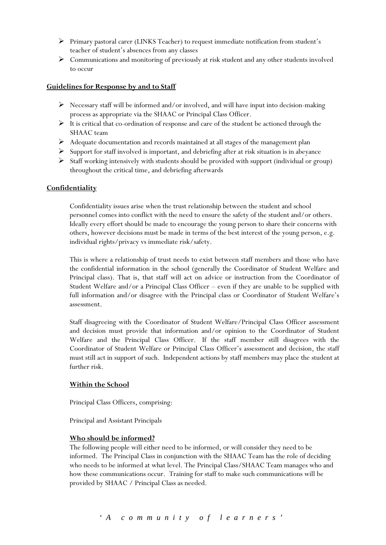- Primary pastoral carer (LINKS Teacher) to request immediate notification from student's teacher of student's absences from any classes
- Communications and monitoring of previously at risk student and any other students involved to occur

#### **Guidelines for Response by and to Staff**

- $\triangleright$  Necessary staff will be informed and/or involved, and will have input into decision-making process as appropriate via the SHAAC or Principal Class Officer.
- $\triangleright$  It is critical that co-ordination of response and care of the student be actioned through the SHAAC team
- $\triangleright$  Adequate documentation and records maintained at all stages of the management plan
- $\triangleright$  Support for staff involved is important, and debriefing after at risk situation is in abeyance
- $\triangleright$  Staff working intensively with students should be provided with support (individual or group) throughout the critical time, and debriefing afterwards

#### **Confidentiality**

Confidentiality issues arise when the trust relationship between the student and school personnel comes into conflict with the need to ensure the safety of the student and/or others. Ideally every effort should be made to encourage the young person to share their concerns with others, however decisions must be made in terms of the best interest of the young person, e.g. individual rights/privacy vs immediate risk/safety.

This is where a relationship of trust needs to exist between staff members and those who have the confidential information in the school (generally the Coordinator of Student Welfare and Principal class). That is, that staff will act on advice or instruction from the Coordinator of Student Welfare and/or a Principal Class Officer – even if they are unable to be supplied with full information and/or disagree with the Principal class or Coordinator of Student Welfare's assessment.

Staff disagreeing with the Coordinator of Student Welfare/Principal Class Officer assessment and decision must provide that information and/or opinion to the Coordinator of Student Welfare and the Principal Class Officer. If the staff member still disagrees with the Coordinator of Student Welfare or Principal Class Officer's assessment and decision, the staff must still act in support of such. Independent actions by staff members may place the student at further risk.

#### **Within the School**

Principal Class Officers, comprising:

Principal and Assistant Principals

#### **Who should be informed?**

The following people will either need to be informed, or will consider they need to be informed. The Principal Class in conjunction with the SHAAC Team has the role of deciding who needs to be informed at what level. The Principal Class/SHAAC Team manages who and how these communications occur. Training for staff to make such communications will be provided by SHAAC / Principal Class as needed.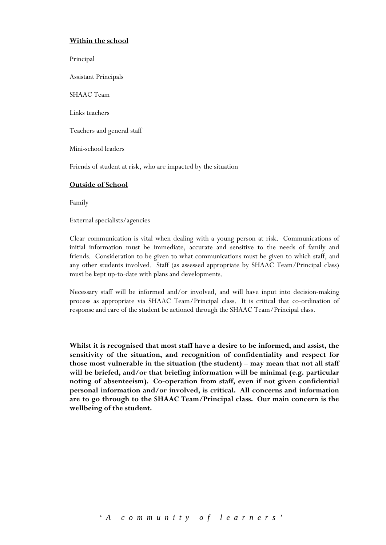# **Within the school**

Principal

Assistant Principals

SHAAC Team

Links teachers

Teachers and general staff

Mini-school leaders

Friends of student at risk, who are impacted by the situation

#### **Outside of School**

Family

External specialists/agencies

Clear communication is vital when dealing with a young person at risk. Communications of initial information must be immediate, accurate and sensitive to the needs of family and friends. Consideration to be given to what communications must be given to which staff, and any other students involved. Staff (as assessed appropriate by SHAAC Team/Principal class) must be kept up-to-date with plans and developments.

Necessary staff will be informed and/or involved, and will have input into decision-making process as appropriate via SHAAC Team/Principal class. It is critical that co-ordination of response and care of the student be actioned through the SHAAC Team/Principal class.

**Whilst it is recognised that most staff have a desire to be informed, and assist, the sensitivity of the situation, and recognition of confidentiality and respect for those most vulnerable in the situation (the student) – may mean that not all staff will be briefed, and/or that briefing information will be minimal (e.g. particular noting of absenteeism). Co-operation from staff, even if not given confidential personal information and/or involved, is critical. All concerns and information are to go through to the SHAAC Team/Principal class. Our main concern is the wellbeing of the student.**